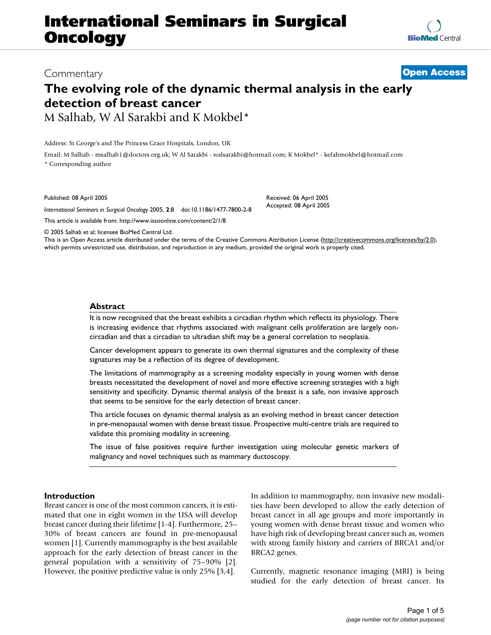# **International Seminars in Surgical Oncology**

## Commentary **[Open Access](http://www.biomedcentral.com/info/about/charter/) The evolving role of the dynamic thermal analysis in the early detection of breast cancer** M Salhab, W Al Sarakbi and K Mokbel\*

Address: St George's and The Princess Grace Hospitals, London, UK

Email: M Salhab - msalhab1@doctors.org.uk; W Al Sarakbi - walsarakbi@hotmail.com; K Mokbel\* - kefahmokbel@hotmail.com \* Corresponding author

Published: 08 April 2005

*International Seminars in Surgical Oncology* 2005, **2**:8 doi:10.1186/1477-7800-2-8

[This article is available from: http://www.issoonline.com/content/2/1/8](http://www.issoonline.com/content/2/1/8)

© 2005 Salhab et al; licensee BioMed Central Ltd.

This is an Open Access article distributed under the terms of the Creative Commons Attribution License [\(http://creativecommons.org/licenses/by/2.0\)](http://creativecommons.org/licenses/by/2.0), which permits unrestricted use, distribution, and reproduction in any medium, provided the original work is properly cited.

#### **Abstract**

It is now recognised that the breast exhibits a circadian rhythm which reflects its physiology. There is increasing evidence that rhythms associated with malignant cells proliferation are largely noncircadian and that a circadian to ultradian shift may be a general correlation to neoplasia.

Cancer development appears to generate its own thermal signatures and the complexity of these signatures may be a reflection of its degree of development.

The limitations of mammography as a screening modality especially in young women with dense breasts necessitated the development of novel and more effective screening strategies with a high sensitivity and specificity. Dynamic thermal analysis of the breast is a safe, non invasive approach that seems to be sensitive for the early detection of breast cancer.

This article focuses on dynamic thermal analysis as an evolving method in breast cancer detection in pre-menopausal women with dense breast tissue. Prospective multi-centre trials are required to validate this promising modality in screening.

The issue of false positives require further investigation using molecular genetic markers of malignancy and novel techniques such as mammary ductoscopy.

#### **Introduction**

Breast cancer is one of the most common cancers, it is estimated that one in eight women in the USA will develop breast cancer during their lifetime [1-4]. Furthermore, 25– 30% of breast cancers are found in pre-menopausal women [1]. Currently mammography is the best available approach for the early detection of breast cancer in the general population with a sensitivity of 75–90% [2]. However, the positive predictive value is only 25% [3,4].

In addition to mammography, non invasive new modalities have been developed to allow the early detection of breast cancer in all age groups and more importantly in young women with dense breast tissue and women who have high risk of developing breast cancer such as, women with strong family history and carriers of BRCA1 and/or BRCA2 genes.

Currently, magnetic resonance imaging (MRI) is being studied for the early detection of breast cancer. Its



Received: 06 April 2005 Accepted: 08 April 2005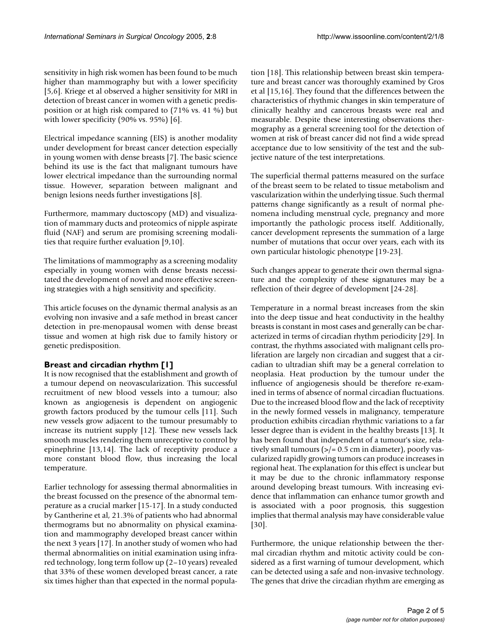sensitivity in high risk women has been found to be much higher than mammography but with a lower specificity [5,6]. Kriege et al observed a higher sensitivity for MRI in detection of breast cancer in women with a genetic predisposition or at high risk compared to (71% vs. 41 %) but with lower specificity (90% vs. 95%) [6].

Electrical impedance scanning (EIS) is another modality under development for breast cancer detection especially in young women with dense breasts [7]. The basic science behind its use is the fact that malignant tumours have lower electrical impedance than the surrounding normal tissue. However, separation between malignant and benign lesions needs further investigations [8].

Furthermore, mammary ductoscopy (MD) and visualization of mammary ducts and proteomics of nipple aspirate fluid (NAF) and serum are promising screening modalities that require further evaluation [9,10].

The limitations of mammography as a screening modality especially in young women with dense breasts necessitated the development of novel and more effective screening strategies with a high sensitivity and specificity.

This article focuses on the dynamic thermal analysis as an evolving non invasive and a safe method in breast cancer detection in pre-menopausal women with dense breast tissue and women at high risk due to family history or genetic predisposition.

### **Breast and circadian rhythm [1]**

It is now recognised that the establishment and growth of a tumour depend on neovascularization. This successful recruitment of new blood vessels into a tumour; also known as angiogenesis is dependent on angiogenic growth factors produced by the tumour cells [11]. Such new vessels grow adjacent to the tumour presumably to increase its nutrient supply [12]. These new vessels lack smooth muscles rendering them unreceptive to control by epinephrine [13,14]. The lack of receptivity produce a more constant blood flow, thus increasing the local temperature.

Earlier technology for assessing thermal abnormalities in the breast focussed on the presence of the abnormal temperature as a crucial marker [15-17]. In a study conducted by Gantherine et al, 21.3% of patients who had abnormal thermograms but no abnormality on physical examination and mammography developed breast cancer within the next 3 years [17]. In another study of women who had thermal abnormalities on initial examination using infrared technology, long term follow up (2–10 years) revealed that 33% of these women developed breast cancer, a rate six times higher than that expected in the normal population [18]. This relationship between breast skin temperature and breast cancer was thoroughly examined by Gros et al [15,16]. They found that the differences between the characteristics of rhythmic changes in skin temperature of clinically healthy and cancerous breasts were real and measurable. Despite these interesting observations thermography as a general screening tool for the detection of women at risk of breast cancer did not find a wide spread acceptance due to low sensitivity of the test and the subjective nature of the test interpretations.

The superficial thermal patterns measured on the surface of the breast seem to be related to tissue metabolism and vascularization within the underlying tissue. Such thermal patterns change significantly as a result of normal phenomena including menstrual cycle, pregnancy and more importantly the pathologic process itself. Additionally, cancer development represents the summation of a large number of mutations that occur over years, each with its own particular histologic phenotype [19-23].

Such changes appear to generate their own thermal signature and the complexity of these signatures may be a reflection of their degree of development [24-28].

Temperature in a normal breast increases from the skin into the deep tissue and heat conductivity in the healthy breasts is constant in most cases and generally can be characterized in terms of circadian rhythm periodicity [29]. In contrast, the rhythms associated with malignant cells proliferation are largely non circadian and suggest that a circadian to ultradian shift may be a general correlation to neoplasia. Heat production by the tumour under the influence of angiogenesis should be therefore re-examined in terms of absence of normal circadian fluctuations. Due to the increased blood flow and the lack of receptivity in the newly formed vessels in malignancy, temperature production exhibits circadian rhythmic variations to a far lesser degree than is evident in the healthy breasts [13]. It has been found that independent of a tumour's size, relatively small tumours  $\left\langle \frac{p}{r} \right\rangle = 0.5$  cm in diameter), poorly vascularized rapidly growing tumors can produce increases in regional heat. The explanation for this effect is unclear but it may be due to the chronic inflammatory response around developing breast tumours. With increasing evidence that inflammation can enhance tumor growth and is associated with a poor prognosis, this suggestion implies that thermal analysis may have considerable value [30].

Furthermore, the unique relationship between the thermal circadian rhythm and mitotic activity could be considered as a first warning of tumour development, which can be detected using a safe and non-invasive technology. The genes that drive the circadian rhythm are emerging as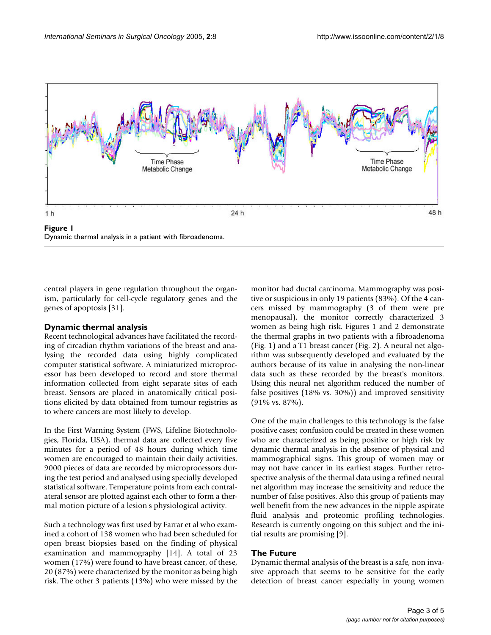

Dynamic thermal analysis in a patient with fibroadenoma.

central players in gene regulation throughout the organism, particularly for cell-cycle regulatory genes and the genes of apoptosis [31].

### **Dynamic thermal analysis**

Recent technological advances have facilitated the recording of circadian rhythm variations of the breast and analysing the recorded data using highly complicated computer statistical software. A miniaturized microprocessor has been developed to record and store thermal information collected from eight separate sites of each breast. Sensors are placed in anatomically critical positions elicited by data obtained from tumour registries as to where cancers are most likely to develop.

In the First Warning System (FWS, Lifeline Biotechnologies, Florida, USA), thermal data are collected every five minutes for a period of 48 hours during which time women are encouraged to maintain their daily activities. 9000 pieces of data are recorded by microprocessors during the test period and analysed using specially developed statistical software. Temperature points from each contralateral sensor are plotted against each other to form a thermal motion picture of a lesion's physiological activity.

Such a technology was first used by Farrar et al who examined a cohort of 138 women who had been scheduled for open breast biopsies based on the finding of physical examination and mammography [14]. A total of 23 women (17%) were found to have breast cancer, of these, 20 (87%) were characterized by the monitor as being high risk. The other 3 patients (13%) who were missed by the monitor had ductal carcinoma. Mammography was positive or suspicious in only 19 patients (83%). Of the 4 cancers missed by mammography (3 of them were pre menopausal), the monitor correctly characterized 3 women as being high risk. Figures 1 and 2 demonstrate the thermal graphs in two patients with a fibroadenoma (Fig. 1) and a T1 breast cancer (Fig. 2). A neural net algorithm was subsequently developed and evaluated by the authors because of its value in analysing the non-linear data such as these recorded by the breast's monitors. Using this neural net algorithm reduced the number of false positives (18% vs. 30%)) and improved sensitivity (91% vs. 87%).

One of the main challenges to this technology is the false positive cases; confusion could be created in these women who are characterized as being positive or high risk by dynamic thermal analysis in the absence of physical and mammographical signs. This group of women may or may not have cancer in its earliest stages. Further retrospective analysis of the thermal data using a refined neural net algorithm may increase the sensitivity and reduce the number of false positives. Also this group of patients may well benefit from the new advances in the nipple aspirate fluid analysis and proteomic profiling technologies. Research is currently ongoing on this subject and the initial results are promising [9].

### **The Future**

Dynamic thermal analysis of the breast is a safe, non invasive approach that seems to be sensitive for the early detection of breast cancer especially in young women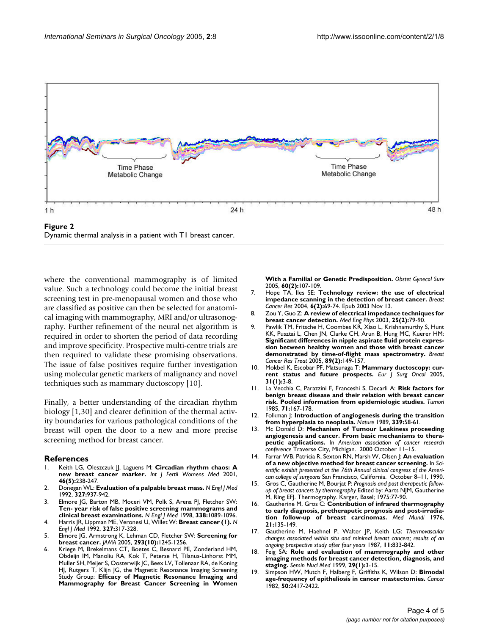

Dynamic thermal analysis in a patient with T1 breast cancer.

where the conventional mammography is of limited value. Such a technology could become the initial breast screening test in pre-menopausal women and those who are classified as positive can then be selected for anatomical imaging with mammography, MRI and/or ultrasonography. Further refinement of the neural net algorithm is required in order to shorten the period of data recording and improve specificity. Prospective multi-centre trials are then required to validate these promising observations. The issue of false positives require further investigation using molecular genetic markers of malignancy and novel techniques such as mammary ductoscopy [10].

Finally, a better understanding of the circadian rhythm biology [1,30] and clearer definition of the thermal activity boundaries for various pathological conditions of the breast will open the door to a new and more precise screening method for breast cancer.

#### **References**

- 1. Keith LG, Oleszczuk JJ, Laguens M: **[Circadian rhythm chaos: A](http://www.ncbi.nlm.nih.gov/entrez/query.fcgi?cmd=Retrieve&db=PubMed&dopt=Abstract&list_uids=11720196) [new breast cancer marker.](http://www.ncbi.nlm.nih.gov/entrez/query.fcgi?cmd=Retrieve&db=PubMed&dopt=Abstract&list_uids=11720196)** *Int J Fertil Womens Med* 2001, **46(5):**238-247.
- 2. Donegan WL: **[Evaluation of a palpable breast mass.](http://www.ncbi.nlm.nih.gov/entrez/query.fcgi?cmd=Retrieve&db=PubMed&dopt=Abstract&list_uids=1513351)** *N Engl J Med* 1992, **327:**937-942.
- 3. Elmore JG, Barton MB, Moceri VM, Polk S, Arena PJ, Fletcher SW: **[Ten- year risk of false positive screening mammograms and](http://www.ncbi.nlm.nih.gov/entrez/query.fcgi?cmd=Retrieve&db=PubMed&dopt=Abstract&list_uids=9545356) [clinical breast examinations.](http://www.ncbi.nlm.nih.gov/entrez/query.fcgi?cmd=Retrieve&db=PubMed&dopt=Abstract&list_uids=9545356)** *N Engl J Med* 1998, **338:**1089-1096.
- 4. Harris JR, Lippman ME, Veronesi U, Willet W: **Breast cancer (1).** *N Engl J Med* 1992, **327:**317-328.
- 5. Elmore JG, Armstrong K, Lehman CD, Fletcher SW: **[Screening for](http://www.ncbi.nlm.nih.gov/entrez/query.fcgi?cmd=Retrieve&db=PubMed&dopt=Abstract&list_uids=15755947) [breast cancer.](http://www.ncbi.nlm.nih.gov/entrez/query.fcgi?cmd=Retrieve&db=PubMed&dopt=Abstract&list_uids=15755947)** *JAMA* 2005, **293(10):**1245-1256.
- 6. Kriege M, Brekelmans CT, Boetes C, Besnard PE, Zonderland HM, Obdeijn IM, Manoliu RA, Kok T, Peterse H, Tilanus-Linhorst MM, Muller SH, Meijer S, Oosterwijk JC, Beex LV, Tollenaar RA, de Koning HJ, Rutgers T, Klijn JG, the Magnetic Resonance Imaging Screening Study Group: **[Efficacy of Magnetic Resonance Imaging and](http://www.ncbi.nlm.nih.gov/entrez/query.fcgi?cmd=Retrieve&db=PubMed&dopt=Abstract&list_uids=15671899) [Mammography for Breast Cancer Screening in Women](http://www.ncbi.nlm.nih.gov/entrez/query.fcgi?cmd=Retrieve&db=PubMed&dopt=Abstract&list_uids=15671899)**

**[With a Familial or Genetic Predisposition.](http://www.ncbi.nlm.nih.gov/entrez/query.fcgi?cmd=Retrieve&db=PubMed&dopt=Abstract&list_uids=15671899)** *Obstet Gynecol Surv* 2005, **60(2):**107-109.

- 7. Hope TA, Iles SE: **[Technology review: the use of electrical](http://www.ncbi.nlm.nih.gov/entrez/query.fcgi?cmd=Retrieve&db=PubMed&dopt=Abstract&list_uids=14979909) [impedance scanning in the detection of breast cancer.](http://www.ncbi.nlm.nih.gov/entrez/query.fcgi?cmd=Retrieve&db=PubMed&dopt=Abstract&list_uids=14979909)** *Breast Cancer Res* 2004, **6(2):**69-74. Epub 2003 Nov 13.
- 8. Zou Y, Guo Z: **[A review of electrical impedance techniques for](http://www.ncbi.nlm.nih.gov/entrez/query.fcgi?cmd=Retrieve&db=PubMed&dopt=Abstract&list_uids=12538062) [breast cancer detection.](http://www.ncbi.nlm.nih.gov/entrez/query.fcgi?cmd=Retrieve&db=PubMed&dopt=Abstract&list_uids=12538062)** *Med Eng Phys* 2003, **25(2):**79-90.
- 9. Pawlik TM, Fritsche H, Coombes KR, Xiao L, Krishnamurthy S, Hunt KK, Pusztai L, Chen JN, Clarke CH, Arun B, Hung MC, Kuerer HM: **[Significant differences in nipple aspirate fluid protein expres](http://www.ncbi.nlm.nih.gov/entrez/query.fcgi?cmd=Retrieve&db=PubMed&dopt=Abstract&list_uids=15692757)sion between healthy women and those with breast cancer [demonstrated by time-of-flight mass spectrometry.](http://www.ncbi.nlm.nih.gov/entrez/query.fcgi?cmd=Retrieve&db=PubMed&dopt=Abstract&list_uids=15692757)** *Breast Cancer Res Treat* 2005, **89(2):**149-157.
- 10. Mokbel K, Escobar PF, Matsunaga T: **[Mammary ductoscopy: cur](http://www.ncbi.nlm.nih.gov/entrez/query.fcgi?cmd=Retrieve&db=PubMed&dopt=Abstract&list_uids=15642418)[rent status and future prospects.](http://www.ncbi.nlm.nih.gov/entrez/query.fcgi?cmd=Retrieve&db=PubMed&dopt=Abstract&list_uids=15642418)** *Eur J Surg Oncol* 2005, **31(1):**3-8.
- 11. La Vecchia C, Parazzini F, Franceshi S, Decarli A: **[Risk factors for](http://www.ncbi.nlm.nih.gov/entrez/query.fcgi?cmd=Retrieve&db=PubMed&dopt=Abstract&list_uids=4002347) [benign breast disease and their relation with breast cancer](http://www.ncbi.nlm.nih.gov/entrez/query.fcgi?cmd=Retrieve&db=PubMed&dopt=Abstract&list_uids=4002347) [risk. Pooled information from epidemiologic studies.](http://www.ncbi.nlm.nih.gov/entrez/query.fcgi?cmd=Retrieve&db=PubMed&dopt=Abstract&list_uids=4002347)** *Tumori* 1985, **71:**167-178.
- 12. Folkman J: **[Introduction of angiogenesis during the transition](http://www.ncbi.nlm.nih.gov/entrez/query.fcgi?cmd=Retrieve&db=PubMed&dopt=Abstract&list_uids=2469964) [from hyperplasia to neoplasia.](http://www.ncbi.nlm.nih.gov/entrez/query.fcgi?cmd=Retrieve&db=PubMed&dopt=Abstract&list_uids=2469964)** *Nature* 1989, **339:**58-61.
- 13. Mc Donald D: **Mechanism of Tumour Leakiness proceeding angiogenesis and cancer. From basic mechanisms to therapeutic applications.** In *American association of cancer research conference* Traverse City, Michigan. 2000 October 11–15.
- 14. Farrar WB, Patricia R, Sexton RN, Marsh W, Olsen J: **An evaluation of a new objective method for breast cancer screening.** In *Scientific exhibit presented at the 76th Annual clinical congress of the American college of surgeons* San Francisco, California. October 8–11, 1990.
- 15. Gros C, Gautherine M, Bourjat P: *Prognosis and post therapeutic followup of breast cancers by thermography* Edited by: Aarts NJM, Gautherine M, Ring EFJ. Thermography. Karger, Basel; 1975:77-90.
- 16. Gautherine M, Gros C: **Contribution of infrared thermography to early diagnosis, pretheraputic prognosis and post-irradiation follow-up of breast carcinomas.** *Med Mundi* 1976, **21:**135-149.
- 17. Gautherine M, Haehnel P, Walter JP, Keith LG: *Thermovascular changes associated within situ and minimal breast cancers; results of an ongoing prospective study after four years* 1987, **11:**833-842.
- 18. Feig SA: **[Role and evaluation of mammography and other](http://www.ncbi.nlm.nih.gov/entrez/query.fcgi?cmd=Retrieve&db=PubMed&dopt=Abstract&list_uids=9990680) [imaging methods for breast cancer detection, diagnosis, and](http://www.ncbi.nlm.nih.gov/entrez/query.fcgi?cmd=Retrieve&db=PubMed&dopt=Abstract&list_uids=9990680) [staging.](http://www.ncbi.nlm.nih.gov/entrez/query.fcgi?cmd=Retrieve&db=PubMed&dopt=Abstract&list_uids=9990680)** *Semin Nucl Med* 1999, **29(1):**3-15.
- 19. Simpson HW, Mutch F, Halberg F, Griffiths K, Wilson D: **[Bimodal](http://www.ncbi.nlm.nih.gov/entrez/query.fcgi?cmd=Retrieve&db=PubMed&dopt=Abstract&list_uids=7139535) [age-frequency of epitheliosis in cancer mastectomies.](http://www.ncbi.nlm.nih.gov/entrez/query.fcgi?cmd=Retrieve&db=PubMed&dopt=Abstract&list_uids=7139535)** *Cancer* 1982, **50:**2417-2422.